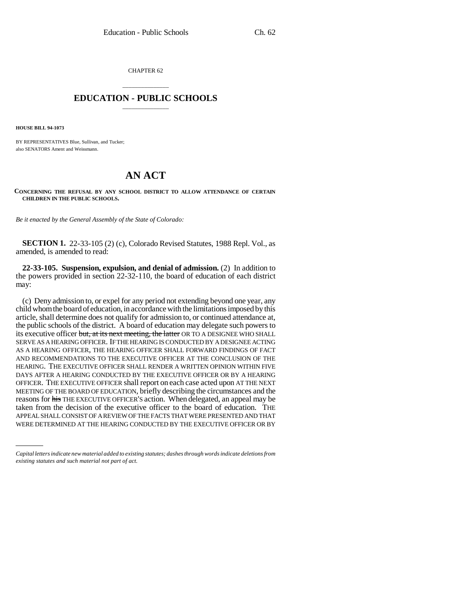CHAPTER 62

## \_\_\_\_\_\_\_\_\_\_\_\_\_\_\_ **EDUCATION - PUBLIC SCHOOLS** \_\_\_\_\_\_\_\_\_\_\_\_\_\_\_

**HOUSE BILL 94-1073**

BY REPRESENTATIVES Blue, Sullivan, and Tucker; also SENATORS Ament and Weissmann.

## **AN ACT**

**CONCERNING THE REFUSAL BY ANY SCHOOL DISTRICT TO ALLOW ATTENDANCE OF CERTAIN CHILDREN IN THE PUBLIC SCHOOLS.**

*Be it enacted by the General Assembly of the State of Colorado:*

**SECTION 1.** 22-33-105 (2) (c), Colorado Revised Statutes, 1988 Repl. Vol., as amended, is amended to read:

**22-33-105. Suspension, expulsion, and denial of admission.** (2) In addition to the powers provided in section 22-32-110, the board of education of each district may:

WERE DETERMINED AT THE HEARING CONDUCTED BY THE EXECUTIVE OFFICER OR BY(c) Deny admission to, or expel for any period not extending beyond one year, any child whom the board of education, in accordance with the limitations imposed by this article, shall determine does not qualify for admission to, or continued attendance at, the public schools of the district. A board of education may delegate such powers to its executive officer but, at its next meeting, the latter OR TO A DESIGNEE WHO SHALL SERVE AS A HEARING OFFICER. IF THE HEARING IS CONDUCTED BY A DESIGNEE ACTING AS A HEARING OFFICER, THE HEARING OFFICER SHALL FORWARD FINDINGS OF FACT AND RECOMMENDATIONS TO THE EXECUTIVE OFFICER AT THE CONCLUSION OF THE HEARING. THE EXECUTIVE OFFICER SHALL RENDER A WRITTEN OPINION WITHIN FIVE DAYS AFTER A HEARING CONDUCTED BY THE EXECUTIVE OFFICER OR BY A HEARING OFFICER. THE EXECUTIVE OFFICER shall report on each case acted upon AT THE NEXT MEETING OF THE BOARD OF EDUCATION, briefly describing the circumstances and the reasons for his THE EXECUTIVE OFFICER'S action. When delegated, an appeal may be taken from the decision of the executive officer to the board of education. THE APPEAL SHALL CONSIST OF A REVIEW OF THE FACTS THAT WERE PRESENTED AND THAT

*Capital letters indicate new material added to existing statutes; dashes through words indicate deletions from existing statutes and such material not part of act.*